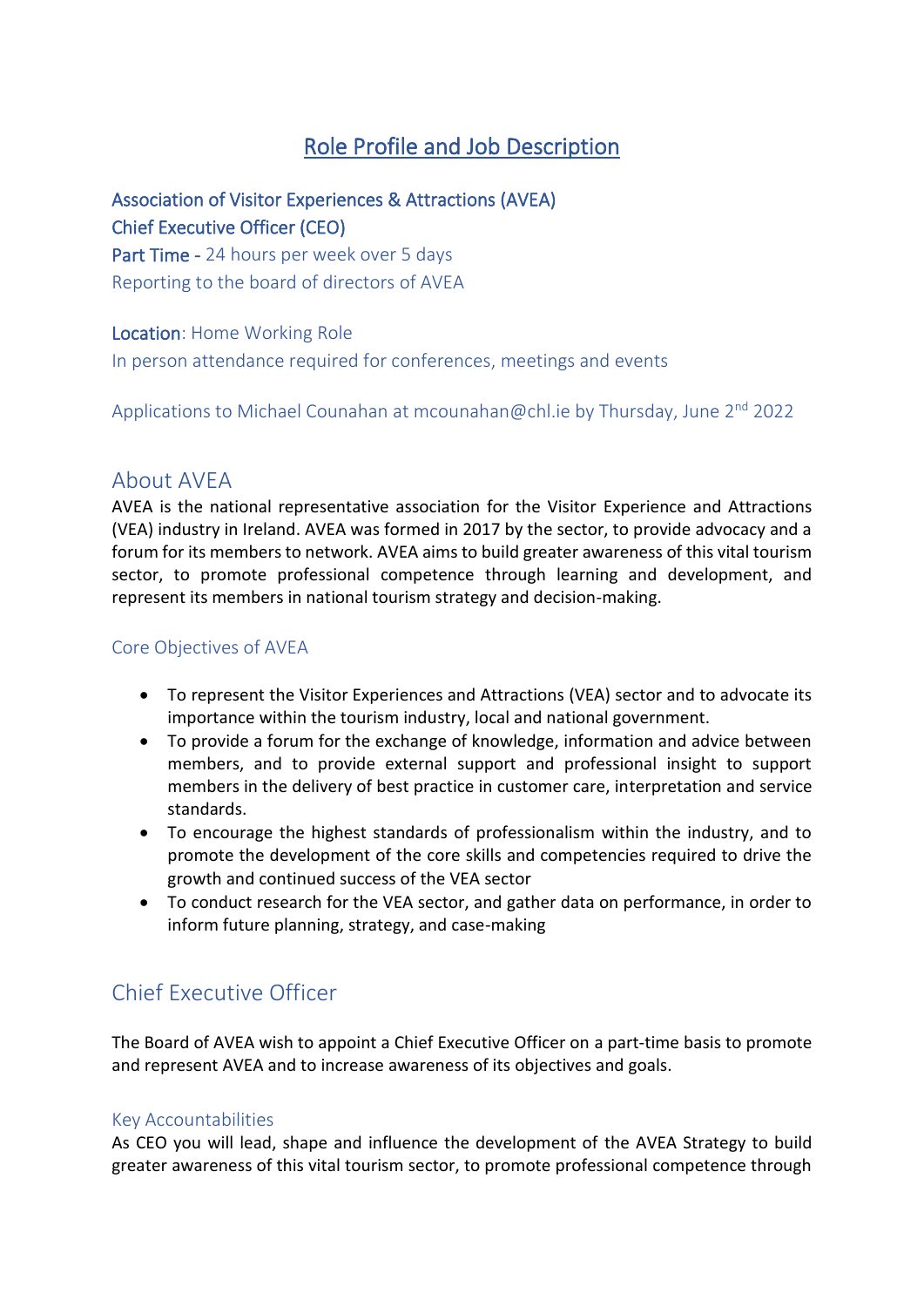# Role Profile and Job Description

## Association of Visitor Experiences & Attractions (AVEA) Chief Executive Officer (CEO)

Part Time - 24 hours per week over 5 days Reporting to the board of directors of AVEA

#### Location: Home Working Role

In person attendance required for conferences, meetings and events

Applications to Michael Counahan at [mcounahan@chl.ie](mailto:mcounahan@chl.ie) by Thursday, June  $2^{nd}$  2022

### About AVEA

AVEA is the national representative association for the Visitor Experience and Attractions (VEA) industry in Ireland. AVEA was formed in 2017 by the sector, to provide advocacy and a forum for its members to network. AVEA aims to build greater awareness of this vital tourism sector, to promote professional competence through learning and development, and represent its members in national tourism strategy and decision-making.

#### Core Objectives of AVEA

- To represent the Visitor Experiences and Attractions (VEA) sector and to advocate its importance within the tourism industry, local and national government.
- To provide a forum for the exchange of knowledge, information and advice between members, and to provide external support and professional insight to support members in the delivery of best practice in customer care, interpretation and service standards.
- To encourage the highest standards of professionalism within the industry, and to promote the development of the core skills and competencies required to drive the growth and continued success of the VEA sector
- To conduct research for the VEA sector, and gather data on performance, in order to inform future planning, strategy, and case-making

# Chief Executive Officer

The Board of AVEA wish to appoint a Chief Executive Officer on a part-time basis to promote and represent AVEA and to increase awareness of its objectives and goals.

#### Key Accountabilities

As CEO you will lead, shape and influence the development of the AVEA Strategy to build greater awareness of this vital tourism sector, to promote professional competence through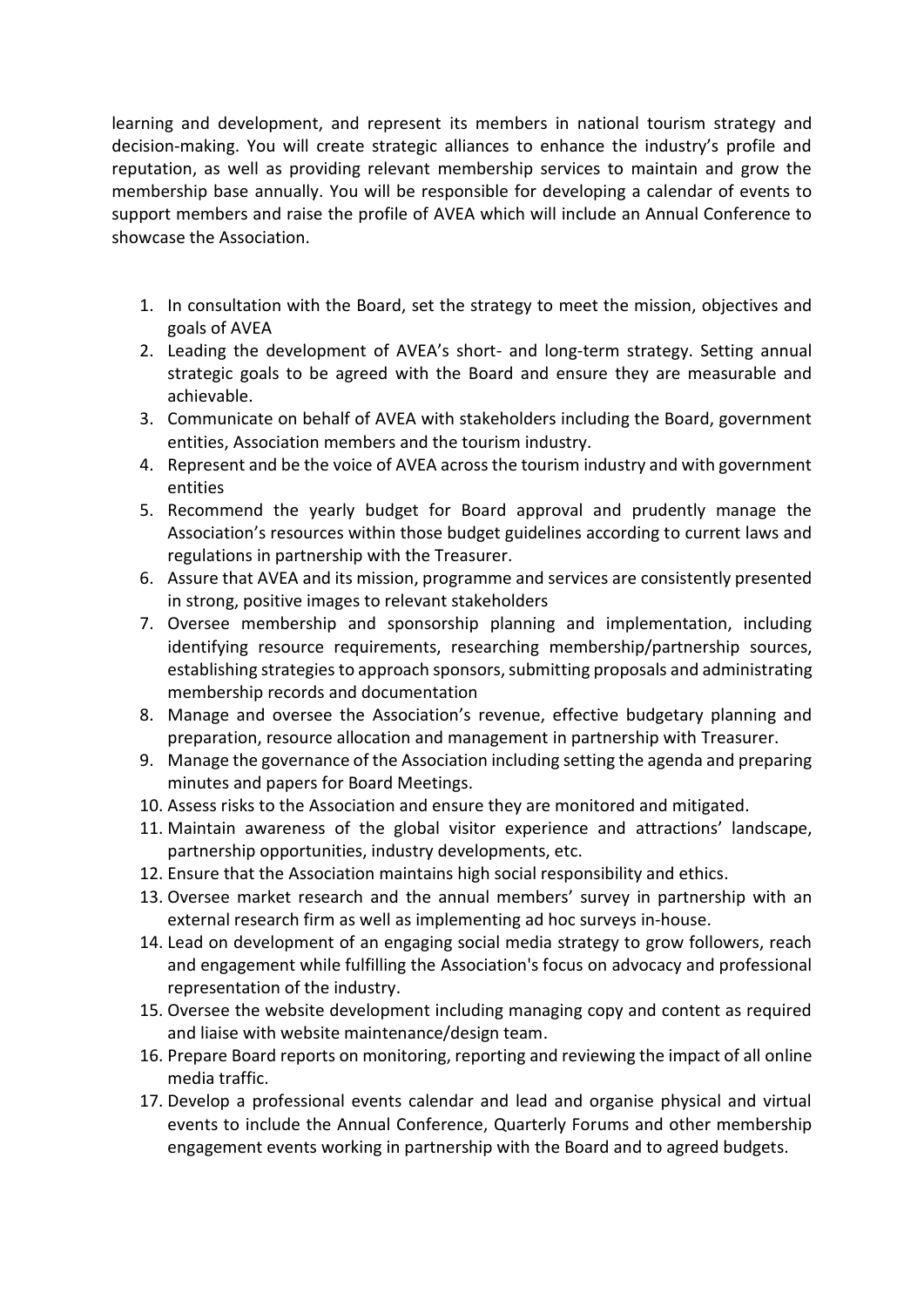learning and development, and represent its members in national tourism strategy and decision-making. You will create strategic alliances to enhance the industry's profile and reputation, as well as providing relevant membership services to maintain and grow the membership base annually. You will be responsible for developing a calendar of events to support members and raise the profile of AVEA which will include an Annual Conference to showcase the Association.

- 1. In consultation with the Board, set the strategy to meet the mission, objectives and goals of AVEA
- 2. Leading the development of AVEA's short- and long-term strategy. Setting annual strategic goals to be agreed with the Board and ensure they are measurable and achievable.
- 3. Communicate on behalf of AVEA with stakeholders including the Board, government entities, Association members and the tourism industry.
- 4. Represent and be the voice of AVEA across the tourism industry and with government entities
- 5. Recommend the yearly budget for Board approval and prudently manage the Association's resources within those budget guidelines according to current laws and regulations in partnership with the Treasurer.
- 6. Assure that AVEA and its mission, programme and services are consistently presented in strong, positive images to relevant stakeholders
- 7. Oversee membership and sponsorship planning and implementation, including identifying resource requirements, researching membership/partnership sources, establishing strategies to approach sponsors, submitting proposals and administrating membership records and documentation
- 8. Manage and oversee the Association's revenue, effective budgetary planning and preparation, resource allocation and management in partnership with Treasurer.
- 9. Manage the governance of the Association including setting the agenda and preparing minutes and papers for Board Meetings.
- 10. Assess risks to the Association and ensure they are monitored and mitigated.
- 11. Maintain awareness of the global visitor experience and attractions' landscape, partnership opportunities, industry developments, etc.
- 12. Ensure that the Association maintains high social responsibility and ethics.
- 13. Oversee market research and the annual members' survey in partnership with an external research firm as well as implementing ad hoc surveys in-house.
- 14. Lead on development of an engaging social media strategy to grow followers, reach and engagement while fulfilling the Association's focus on advocacy and professional representation of the industry.
- 15. Oversee the website development including managing copy and content as required and liaise with website maintenance/design team.
- 16. Prepare Board reports on monitoring, reporting and reviewing the impact of all online media traffic.
- 17. Develop a professional events calendar and lead and organise physical and virtual events to include the Annual Conference, Quarterly Forums and other membership engagement events working in partnership with the Board and to agreed budgets.